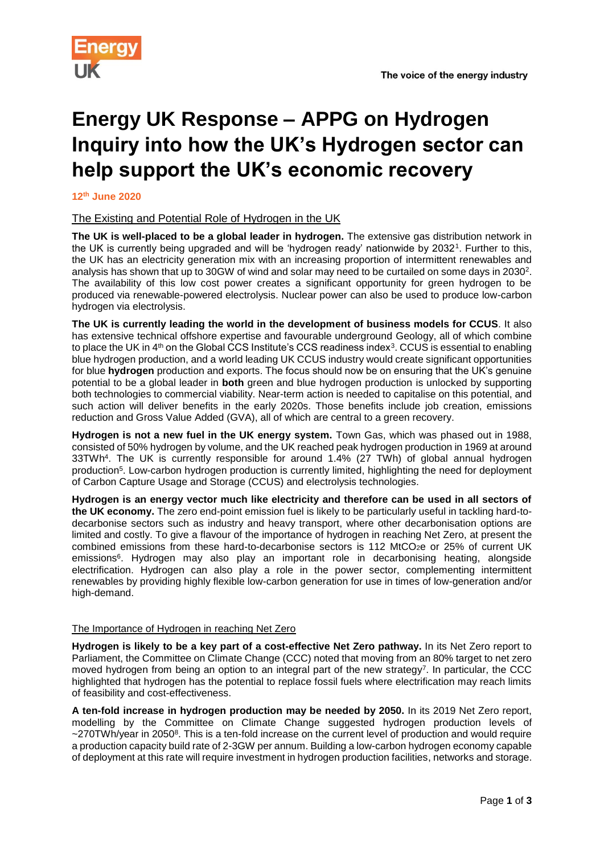



# **Energy UK Response – APPG on Hydrogen Inquiry into how the UK's Hydrogen sector can help support the UK's economic recovery**

**12th June 2020**

## The Existing and Potential Role of Hydrogen in the UK

**The UK is well-placed to be a global leader in hydrogen.** The extensive gas distribution network in the UK is currently being upgraded and will be 'hydrogen ready' nationwide by 2032<sup>1</sup> . Further to this, the UK has an electricity generation mix with an increasing proportion of intermittent renewables and analysis has shown that up to 30GW of wind and solar may need to be curtailed on some days in 2030<sup>2</sup>. The availability of this low cost power creates a significant opportunity for green hydrogen to be produced via renewable-powered electrolysis. Nuclear power can also be used to produce low-carbon hydrogen via electrolysis.

**The UK is currently leading the world in the development of business models for CCUS**. It also has extensive technical offshore expertise and favourable underground Geology, all of which combine to place the UK in 4<sup>th</sup> on the Global CCS Institute's CCS readiness index<sup>3</sup>. CCUS is essential to enabling blue hydrogen production, and a world leading UK CCUS industry would create significant opportunities for blue **hydrogen** production and exports. The focus should now be on ensuring that the UK's genuine potential to be a global leader in **both** green and blue hydrogen production is unlocked by supporting both technologies to commercial viability. Near-term action is needed to capitalise on this potential, and such action will deliver benefits in the early 2020s. Those benefits include job creation, emissions reduction and Gross Value Added (GVA), all of which are central to a green recovery.

**Hydrogen is not a new fuel in the UK energy system.** Town Gas, which was phased out in 1988, consisted of 50% hydrogen by volume, and the UK reached peak hydrogen production in 1969 at around 33TWh<sup>4</sup> . The UK is currently responsible for around 1.4% (27 TWh) of global annual hydrogen production<sup>5</sup> . Low-carbon hydrogen production is currently limited, highlighting the need for deployment of Carbon Capture Usage and Storage (CCUS) and electrolysis technologies.

**Hydrogen is an energy vector much like electricity and therefore can be used in all sectors of the UK economy.** The zero end-point emission fuel is likely to be particularly useful in tackling hard-todecarbonise sectors such as industry and heavy transport, where other decarbonisation options are limited and costly. To give a flavour of the importance of hydrogen in reaching Net Zero, at present the combined emissions from these hard-to-decarbonise sectors is 112 MtCO<sub>2</sub>e or 25% of current UK emissions<sup>6</sup>. Hydrogen may also play an important role in decarbonising heating, alongside electrification. Hydrogen can also play a role in the power sector, complementing intermittent renewables by providing highly flexible low-carbon generation for use in times of low-generation and/or high-demand.

### The Importance of Hydrogen in reaching Net Zero

**Hydrogen is likely to be a key part of a cost-effective Net Zero pathway.** In its Net Zero report to Parliament, the Committee on Climate Change (CCC) noted that moving from an 80% target to net zero moved hydrogen from being an option to an integral part of the new strategy<sup>7</sup>. In particular, the CCC highlighted that hydrogen has the potential to replace fossil fuels where electrification may reach limits of feasibility and cost-effectiveness.

**A ten-fold increase in hydrogen production may be needed by 2050.** In its 2019 Net Zero report, modelling by the Committee on Climate Change suggested hydrogen production levels of  $\sim$ 270TWh/year in 2050<sup>8</sup>. This is a ten-fold increase on the current level of production and would require a production capacity build rate of 2-3GW per annum. Building a low-carbon hydrogen economy capable of deployment at this rate will require investment in hydrogen production facilities, networks and storage.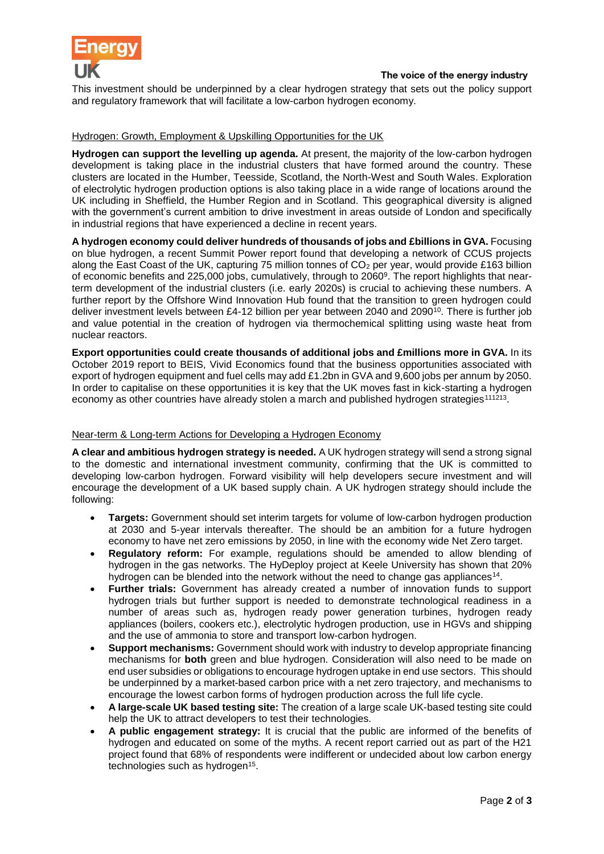

This investment should be underpinned by a clear hydrogen strategy that sets out the policy support and regulatory framework that will facilitate a low-carbon hydrogen economy.

#### Hydrogen: Growth, Employment & Upskilling Opportunities for the UK

**Hydrogen can support the levelling up agenda.** At present, the majority of the low-carbon hydrogen development is taking place in the industrial clusters that have formed around the country. These clusters are located in the Humber, Teesside, Scotland, the North-West and South Wales. Exploration of electrolytic hydrogen production options is also taking place in a wide range of locations around the UK including in Sheffield, the Humber Region and in Scotland. This geographical diversity is aligned with the government's current ambition to drive investment in areas outside of London and specifically in industrial regions that have experienced a decline in recent years.

**A hydrogen economy could deliver hundreds of thousands of jobs and £billions in GVA.** Focusing on blue hydrogen, a recent Summit Power report found that developing a network of CCUS projects along the East Coast of the UK, capturing 75 million tonnes of  $CO<sub>2</sub>$  per year, would provide £163 billion of economic benefits and 225,000 jobs, cumulatively, through to 2060<sup>9</sup>. The report highlights that nearterm development of the industrial clusters (i.e. early 2020s) is crucial to achieving these numbers. A further report by the Offshore Wind Innovation Hub found that the transition to green hydrogen could deliver investment levels between £4-12 billion per year between 2040 and 2090<sup>10</sup>. There is further job and value potential in the creation of hydrogen via thermochemical splitting using waste heat from nuclear reactors.

**Export opportunities could create thousands of additional jobs and £millions more in GVA.** In its October 2019 report to BEIS, Vivid Economics found that the business opportunities associated with export of hydrogen equipment and fuel cells may add £1.2bn in GVA and 9,600 jobs per annum by 2050. In order to capitalise on these opportunities it is key that the UK moves fast in kick-starting a hydrogen economy as other countries have already stolen a march and published hydrogen strategies<sup>111213</sup>.

#### Near-term & Long-term Actions for Developing a Hydrogen Economy

**A clear and ambitious hydrogen strategy is needed.** A UK hydrogen strategy will send a strong signal to the domestic and international investment community, confirming that the UK is committed to developing low-carbon hydrogen. Forward visibility will help developers secure investment and will encourage the development of a UK based supply chain. A UK hydrogen strategy should include the following:

- **Targets:** Government should set interim targets for volume of low-carbon hydrogen production at 2030 and 5-year intervals thereafter. The should be an ambition for a future hydrogen economy to have net zero emissions by 2050, in line with the economy wide Net Zero target.
- **Regulatory reform:** For example, regulations should be amended to allow blending of hydrogen in the gas networks. The HyDeploy project at Keele University has shown that 20% hydrogen can be blended into the network without the need to change gas appliances<sup>14</sup>.
- **Further trials:** Government has already created a number of innovation funds to support hydrogen trials but further support is needed to demonstrate technological readiness in a number of areas such as, hydrogen ready power generation turbines, hydrogen ready appliances (boilers, cookers etc.), electrolytic hydrogen production, use in HGVs and shipping and the use of ammonia to store and transport low-carbon hydrogen.
- **Support mechanisms:** Government should work with industry to develop appropriate financing mechanisms for **both** green and blue hydrogen. Consideration will also need to be made on end user subsidies or obligations to encourage hydrogen uptake in end use sectors. This should be underpinned by a market-based carbon price with a net zero trajectory, and mechanisms to encourage the lowest carbon forms of hydrogen production across the full life cycle.
- **A large-scale UK based testing site:** The creation of a large scale UK-based testing site could help the UK to attract developers to test their technologies.
- **A public engagement strategy:** It is crucial that the public are informed of the benefits of hydrogen and educated on some of the myths. A recent report carried out as part of the H21 project found that 68% of respondents were indifferent or undecided about low carbon energy technologies such as hydrogen<sup>15</sup>.